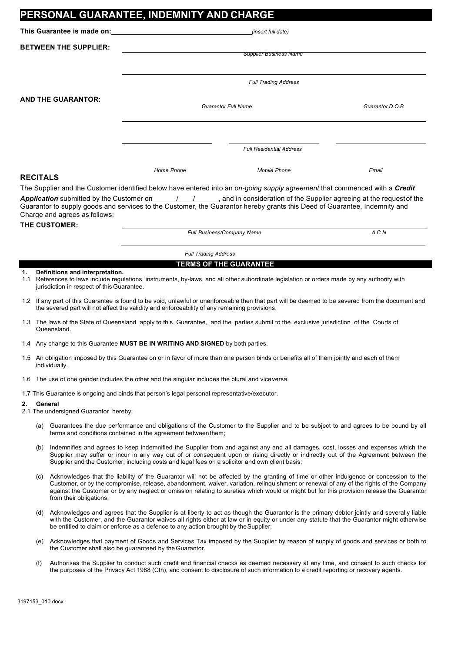|                                                                                                                                                                                                                                                                                   |                                                                                                                                                            | PERSONAL GUARANTEE, INDEMNITY AND CHARGE                                                       |                                                                                                                                                                                                                                                                                                                                                                                                                               |                 |  |
|-----------------------------------------------------------------------------------------------------------------------------------------------------------------------------------------------------------------------------------------------------------------------------------|------------------------------------------------------------------------------------------------------------------------------------------------------------|------------------------------------------------------------------------------------------------|-------------------------------------------------------------------------------------------------------------------------------------------------------------------------------------------------------------------------------------------------------------------------------------------------------------------------------------------------------------------------------------------------------------------------------|-----------------|--|
| This Guarantee is made on: Network and the set of the set of the set of the set of the set of the set of the set of the set of the set of the set of the set of the set of the set of the set of the set of the set of the set                                                    |                                                                                                                                                            |                                                                                                | (insert full date)                                                                                                                                                                                                                                                                                                                                                                                                            |                 |  |
| <b>BETWEEN THE SUPPLIER:</b>                                                                                                                                                                                                                                                      |                                                                                                                                                            |                                                                                                |                                                                                                                                                                                                                                                                                                                                                                                                                               |                 |  |
|                                                                                                                                                                                                                                                                                   |                                                                                                                                                            |                                                                                                | <b>Supplier Business Name</b>                                                                                                                                                                                                                                                                                                                                                                                                 |                 |  |
|                                                                                                                                                                                                                                                                                   |                                                                                                                                                            | <b>Full Trading Address</b>                                                                    |                                                                                                                                                                                                                                                                                                                                                                                                                               |                 |  |
| <b>AND THE GUARANTOR:</b>                                                                                                                                                                                                                                                         |                                                                                                                                                            |                                                                                                |                                                                                                                                                                                                                                                                                                                                                                                                                               | Guarantor D.O.B |  |
|                                                                                                                                                                                                                                                                                   |                                                                                                                                                            | <b>Guarantor Full Name</b>                                                                     |                                                                                                                                                                                                                                                                                                                                                                                                                               |                 |  |
|                                                                                                                                                                                                                                                                                   |                                                                                                                                                            |                                                                                                |                                                                                                                                                                                                                                                                                                                                                                                                                               |                 |  |
|                                                                                                                                                                                                                                                                                   |                                                                                                                                                            | <b>Full Residential Address</b>                                                                |                                                                                                                                                                                                                                                                                                                                                                                                                               |                 |  |
|                                                                                                                                                                                                                                                                                   |                                                                                                                                                            | Home Phone                                                                                     | <b>Mobile Phone</b>                                                                                                                                                                                                                                                                                                                                                                                                           | Email           |  |
| <b>RECITALS</b><br>The Supplier and the Customer identified below have entered into an on-going supply agreement that commenced with a Credit                                                                                                                                     |                                                                                                                                                            |                                                                                                |                                                                                                                                                                                                                                                                                                                                                                                                                               |                 |  |
| Application submitted by the Customer on 114.1, and in consideration of the Supplier agreeing at the request of the<br>Guarantor to supply goods and services to the Customer, the Guarantor hereby grants this Deed of Guarantee, Indemnity and<br>Charge and agrees as follows: |                                                                                                                                                            |                                                                                                |                                                                                                                                                                                                                                                                                                                                                                                                                               |                 |  |
|                                                                                                                                                                                                                                                                                   | THE CUSTOMER:                                                                                                                                              |                                                                                                | Full Business/Company Name                                                                                                                                                                                                                                                                                                                                                                                                    | A.C.N           |  |
|                                                                                                                                                                                                                                                                                   |                                                                                                                                                            | <b>Full Trading Address</b>                                                                    |                                                                                                                                                                                                                                                                                                                                                                                                                               |                 |  |
| <b>TERMS OF THE GUARANTEE</b>                                                                                                                                                                                                                                                     |                                                                                                                                                            |                                                                                                |                                                                                                                                                                                                                                                                                                                                                                                                                               |                 |  |
| Definitions and interpretation.<br>1.<br>1.1 References to laws include regulations, instruments, by-laws, and all other subordinate legislation or orders made by any authority with<br>jurisdiction in respect of this Guarantee.                                               |                                                                                                                                                            |                                                                                                |                                                                                                                                                                                                                                                                                                                                                                                                                               |                 |  |
| 1.2 If any part of this Guarantee is found to be void, unlawful or unenforceable then that part will be deemed to be severed from the document and<br>the severed part will not affect the validity and enforceability of any remaining provisions.                               |                                                                                                                                                            |                                                                                                |                                                                                                                                                                                                                                                                                                                                                                                                                               |                 |  |
|                                                                                                                                                                                                                                                                                   | 1.3 The laws of the State of Queensland apply to this Guarantee, and the parties submit to the exclusive jurisdiction of the Courts of<br>Queensland.      |                                                                                                |                                                                                                                                                                                                                                                                                                                                                                                                                               |                 |  |
|                                                                                                                                                                                                                                                                                   | 1.4 Any change to this Guarantee MUST BE IN WRITING AND SIGNED by both parties.                                                                            |                                                                                                |                                                                                                                                                                                                                                                                                                                                                                                                                               |                 |  |
|                                                                                                                                                                                                                                                                                   | 1.5 An obligation imposed by this Guarantee on or in favor of more than one person binds or benefits all of them jointly and each of them<br>individually. |                                                                                                |                                                                                                                                                                                                                                                                                                                                                                                                                               |                 |  |
|                                                                                                                                                                                                                                                                                   | 1.6 The use of one gender includes the other and the singular includes the plural and vice versa.                                                          |                                                                                                |                                                                                                                                                                                                                                                                                                                                                                                                                               |                 |  |
| 1.7 This Guarantee is ongoing and binds that person's legal personal representative/executor.                                                                                                                                                                                     |                                                                                                                                                            |                                                                                                |                                                                                                                                                                                                                                                                                                                                                                                                                               |                 |  |
| General<br>2.<br>2.1 The undersigned Guarantor hereby:                                                                                                                                                                                                                            |                                                                                                                                                            |                                                                                                |                                                                                                                                                                                                                                                                                                                                                                                                                               |                 |  |
|                                                                                                                                                                                                                                                                                   |                                                                                                                                                            | terms and conditions contained in the agreement between them;                                  | (a) Guarantees the due performance and obligations of the Customer to the Supplier and to be subject to and agrees to be bound by all                                                                                                                                                                                                                                                                                         |                 |  |
| (b)                                                                                                                                                                                                                                                                               |                                                                                                                                                            | Supplier and the Customer, including costs and legal fees on a solicitor and own client basis; | Indemnifies and agrees to keep indemnified the Supplier from and against any and all damages, cost, losses and expenses which the<br>Supplier may suffer or incur in any way out of or consequent upon or rising directly or indirectly out of the Agreement between the                                                                                                                                                      |                 |  |
| (C)                                                                                                                                                                                                                                                                               | from their obligations;                                                                                                                                    |                                                                                                | Acknowledges that the liability of the Guarantor will not be affected by the granting of time or other indulgence or concession to the<br>Customer, or by the compromise, release, abandonment, waiver, variation, relinguishment or renewal of any of the rights of the Company<br>against the Customer or by any neglect or omission relating to sureties which would or might but for this provision release the Guarantor |                 |  |
| (d)                                                                                                                                                                                                                                                                               |                                                                                                                                                            | be entitled to claim or enforce as a defence to any action brought by the Supplier;            | Acknowledges and agrees that the Supplier is at liberty to act as though the Guarantor is the primary debtor jointly and severally liable<br>with the Customer, and the Guarantor waives all rights either at law or in equity or under any statute that the Guarantor might otherwise                                                                                                                                        |                 |  |
| (e)                                                                                                                                                                                                                                                                               |                                                                                                                                                            |                                                                                                | Acknowledges that payment of Goods and Services Tax imposed by the Supplier by reason of supply of goods and services or both to                                                                                                                                                                                                                                                                                              |                 |  |

- the Customer shall also be guaranteed by theGuarantor.
- (f) Authorises the Supplier to conduct such credit and financial checks as deemed necessary at any time, and consent to such checks for the purposes of the Privacy Act 1988 (Cth), and consent to disclosure of such information to a credit reporting or recovery agents.